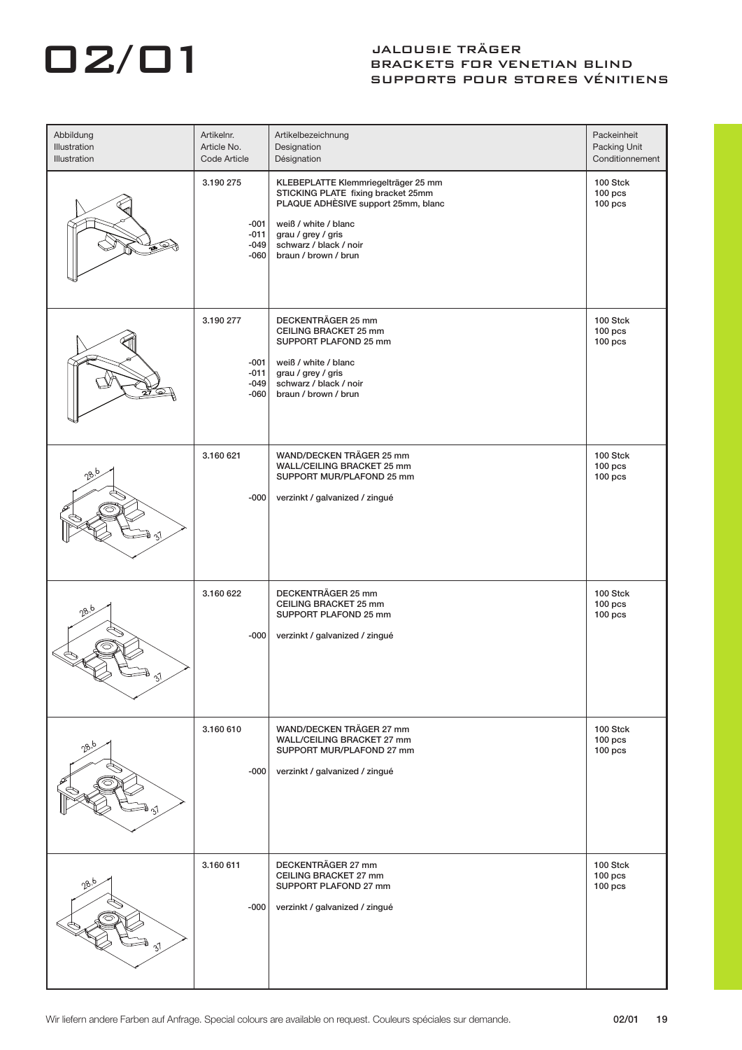## O2/01 JALDUSIE TRÄGER

## BRACKETS FOR VENETIAN BLIND SUPPORTS POUR STORES VÉNITIENS

| Abbildung<br>Illustration<br>Illustration | Artikelnr.<br>Article No.<br>Code Article         | Artikelbezeichnung<br>Designation<br>Désignation                                                                                                                                                                 | Packeinheit<br>Packing Unit<br>Conditionnement |
|-------------------------------------------|---------------------------------------------------|------------------------------------------------------------------------------------------------------------------------------------------------------------------------------------------------------------------|------------------------------------------------|
| œ                                         | 3.190 275<br>$-001$<br>$-011$<br>$-049$<br>$-060$ | KLEBEPLATTE Klemmriegelträger 25 mm<br>STICKING PLATE fixing bracket 25mm<br>PLAQUE ADHÈSIVE support 25mm, blanc<br>weiß / white / blanc<br>grau / grey / gris<br>schwarz / black / noir<br>braun / brown / brun | 100 Stck<br>$100$ pcs<br>$100$ pcs             |
|                                           | 3.190 277<br>$-001$<br>$-011$<br>$-049$<br>$-060$ | DECKENTRÄGER 25 mm<br>CEILING BRACKET 25 mm<br>SUPPORT PLAFOND 25 mm<br>weiß / white / blanc<br>grau / grey / gris<br>schwarz / black / noir<br>braun / brown / brun                                             | 100 Stck<br>$100$ pcs<br>$100$ pcs             |
|                                           | 3.160 621<br>$-000$                               | WAND/DECKEN TRÄGER 25 mm<br>WALL/CEILING BRACKET 25 mm<br>SUPPORT MUR/PLAFOND 25 mm<br>verzinkt / galvanized / zingué                                                                                            | 100 Stck<br>$100$ pcs<br>$100$ pcs             |
| ეზ                                        | 3.160 622<br>$-000$                               | DECKENTRÄGER 25 mm<br>CEILING BRACKET 25 mm<br>SUPPORT PLAFOND 25 mm<br>verzinkt / galvanized / zingué                                                                                                           | 100 Stck<br>$100$ pcs<br>$100$ pcs             |
| 28.5                                      | 3.160 610<br>$-000$                               | WAND/DECKEN TRÄGER 27 mm<br>WALL/CEILING BRACKET 27 mm<br>SUPPORT MUR/PLAFOND 27 mm<br>verzinkt / galvanized / zingué                                                                                            | 100 Stck<br>$100$ pcs<br>$100$ pcs             |
| $28^b$                                    | 3.160 611<br>$-000$                               | DECKENTRÄGER 27 mm<br>CEILING BRACKET 27 mm<br>SUPPORT PLAFOND 27 mm<br>verzinkt / galvanized / zingué                                                                                                           | 100 Stck<br>$100$ pcs<br>$100$ pcs             |